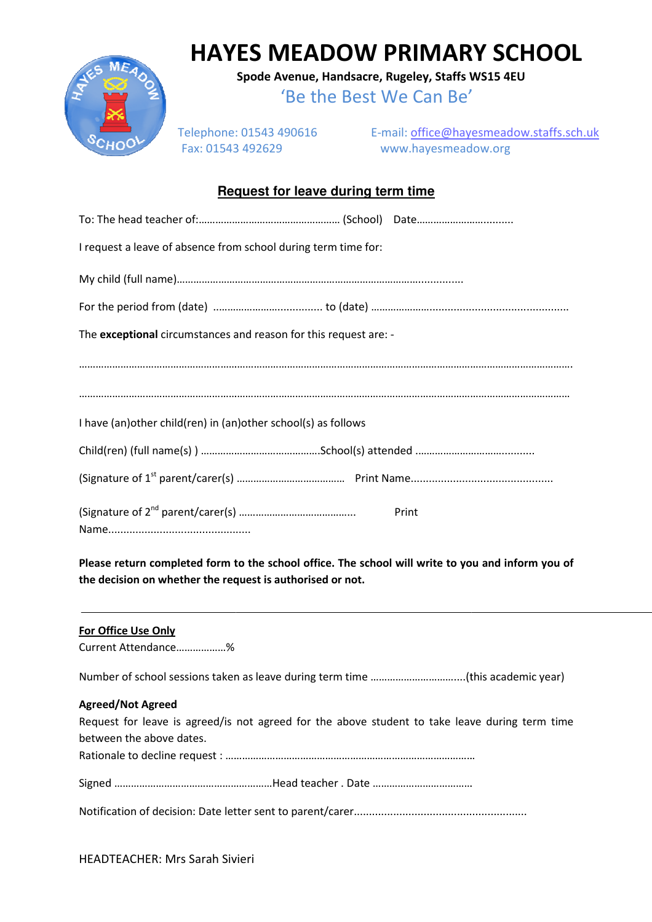

## **HAYES MEADOW PRIMARY SCHOOL**

**Spode Avenue, Handsacre, Rugeley, Staffs WS15 4EU**

'Be the Best We Can Be'

Telephone: 01543 490616 Fax: 01543 492629

E-mail: office@hayesmeadow.staffs.sch.uk www.hayesmeadow.org

## **Request for leave during term time**

| I request a leave of absence from school during term time for:   |       |
|------------------------------------------------------------------|-------|
|                                                                  |       |
|                                                                  |       |
| The exceptional circumstances and reason for this request are: - |       |
|                                                                  |       |
|                                                                  |       |
| I have (an) other child (ren) in (an) other school(s) as follows |       |
|                                                                  |       |
|                                                                  |       |
|                                                                  | Print |

Please return completed form to the school office. The school will write to you and inform you of **the decision on whether the request is authorised or not.** 

## **For Office Use Only**

Current Attendance………………%

Number of school sessions taken as leave during term time …………………………....(this academic year)

## **Agreed/Not Agreed**

| Request for leave is agreed/is not agreed for the above student to take leave during term time |  |  |  |
|------------------------------------------------------------------------------------------------|--|--|--|
| between the above dates.                                                                       |  |  |  |
|                                                                                                |  |  |  |
|                                                                                                |  |  |  |

Notification of decision: Date letter sent to parent/carer.........................................................